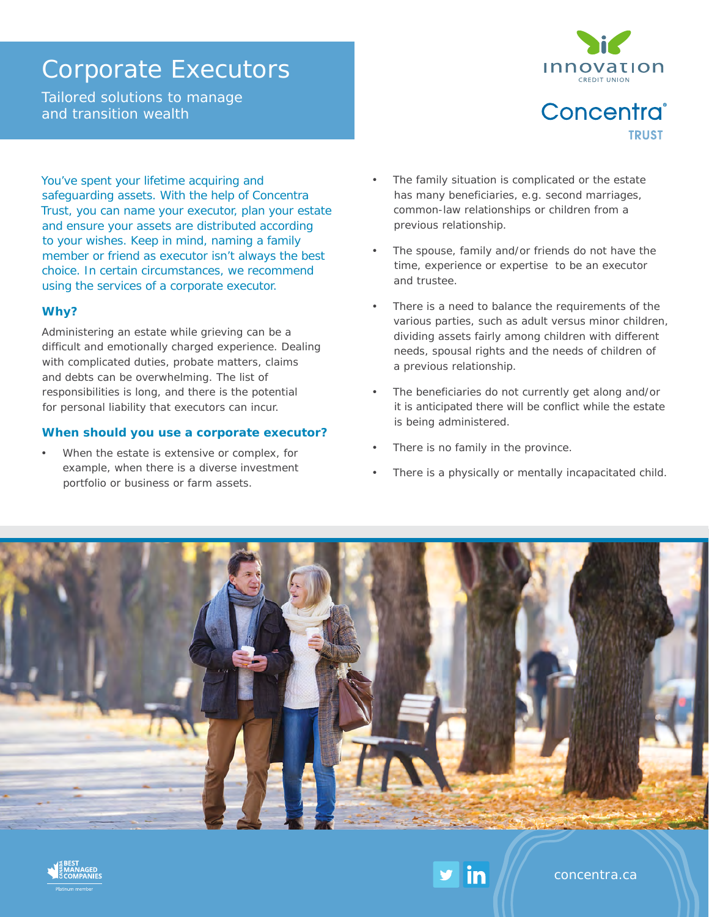# Corporate Executors

Tailored solutions to manage and transition wealth



Concentra® **TRUST** 

You've spent your lifetime acquiring and safeguarding assets. With the help of Concentra Trust, you can name your executor, plan your estate and ensure your assets are distributed according to your wishes. Keep in mind, naming a family member or friend as executor isn't always the best choice. In certain circumstances, we recommend using the services of a corporate executor.

### **Why?**

Administering an estate while grieving can be a difficult and emotionally charged experience. Dealing with complicated duties, probate matters, claims and debts can be overwhelming. The list of responsibilities is long, and there is the potential for personal liability that executors can incur.

### **When should you use a corporate executor?**

When the estate is extensive or complex, for example, when there is a diverse investment portfolio or business or farm assets.

- The family situation is complicated or the estate has many beneficiaries, e.g. second marriages, common-law relationships or children from a previous relationship.
- The spouse, family and/or friends do not have the time, experience or expertise to be an executor and trustee.
- There is a need to balance the requirements of the various parties, such as adult versus minor children, dividing assets fairly among children with different needs, spousal rights and the needs of children of a previous relationship.
- The beneficiaries do not currently get along and/or it is anticipated there will be conflict while the estate is being administered.
- There is no family in the province.

in

There is a physically or mentally incapacitated child.